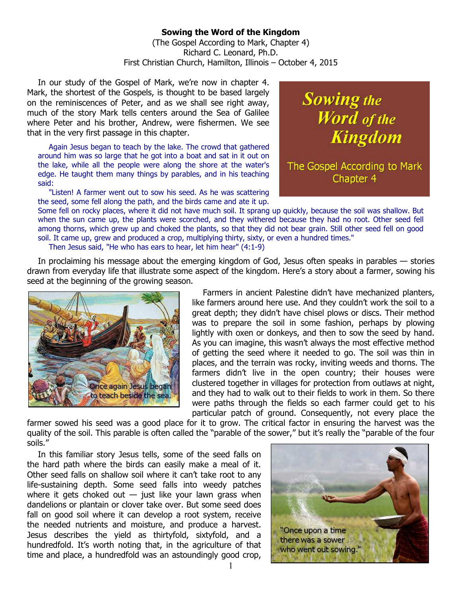## **Sowing the Word of the Kingdom**

(The Gospel According to Mark, Chapter 4) Richard C. Leonard, Ph.D. First Christian Church, Hamilton, Illinois – October 4, 2015

In our study of the Gospel of Mark, we're now in chapter 4. Mark, the shortest of the Gospels, is thought to be based largely on the reminiscences of Peter, and as we shall see right away, much of the story Mark tells centers around the Sea of Galilee where Peter and his brother, Andrew, were fishermen. We see that in the very first passage in this chapter.

Again Jesus began to teach by the lake. The crowd that gathered around him was so large that he got into a boat and sat in it out on the lake, while all the people were along the shore at the water's edge. He taught them many things by parables, and in his teaching said:

"Listen! A farmer went out to sow his seed. As he was scattering the seed, some fell along the path, and the birds came and ate it up. **Sowing the** Word of the **Kingdom** 

The Gospel According to Mark Chapter 4

Some fell on rocky places, where it did not have much soil. It sprang up quickly, because the soil was shallow. But when the sun came up, the plants were scorched, and they withered because they had no root. Other seed fell among thorns, which grew up and choked the plants, so that they did not bear grain. Still other seed fell on good soil. It came up, grew and produced a crop, multiplying thirty, sixty, or even a hundred times."

Then Jesus said, "He who has ears to hear, let him hear" (4:1-9)

In proclaiming his message about the emerging kingdom of God, Jesus often speaks in parables — stories drawn from everyday life that illustrate some aspect of the kingdom. Here's a story about a farmer, sowing his seed at the beginning of the growing season.



Farmers in ancient Palestine didn't have mechanized planters, like farmers around here use. And they couldn't work the soil to a great depth; they didn't have chisel plows or discs. Their method was to prepare the soil in some fashion, perhaps by plowing lightly with oxen or donkeys, and then to sow the seed by hand. As you can imagine, this wasn't always the most effective method of getting the seed where it needed to go. The soil was thin in places, and the terrain was rocky, inviting weeds and thorns. The farmers didn't live in the open country; their houses were clustered together in villages for protection from outlaws at night, and they had to walk out to their fields to work in them. So there were paths through the fields so each farmer could get to his particular patch of ground. Consequently, not every place the

farmer sowed his seed was a good place for it to grow. The critical factor in ensuring the harvest was the quality of the soil. This parable is often called the "parable of the sower," but it's really the "parable of the four soils."

In this familiar story Jesus tells, some of the seed falls on the hard path where the birds can easily make a meal of it. Other seed falls on shallow soil where it can't take root to any life-sustaining depth. Some seed falls into weedy patches where it gets choked out  $-$  just like your lawn grass when dandelions or plantain or clover take over. But some seed does fall on good soil where it can develop a root system, receive the needed nutrients and moisture, and produce a harvest. Jesus describes the yield as thirtyfold, sixtyfold, and a hundredfold. It's worth noting that, in the agriculture of that time and place, a hundredfold was an astoundingly good crop,



1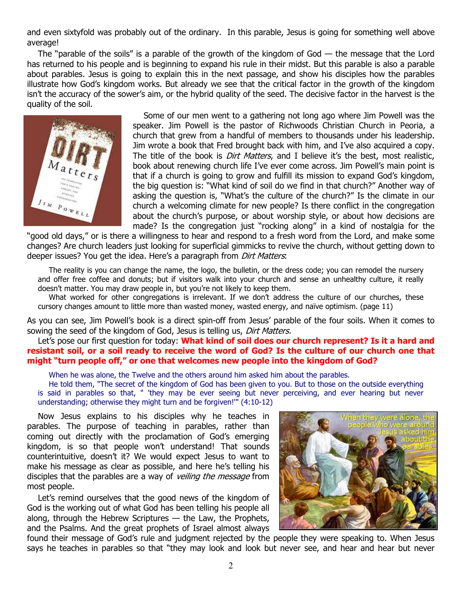and even sixtyfold was probably out of the ordinary. In this parable, Jesus is going for something well above average!

The "parable of the soils" is a parable of the growth of the kingdom of God  $-$  the message that the Lord has returned to his people and is beginning to expand his rule in their midst. But this parable is also a parable about parables. Jesus is going to explain this in the next passage, and show his disciples how the parables illustrate how God's kingdom works. But already we see that the critical factor in the growth of the kingdom isn't the accuracy of the sower's aim, or the hybrid quality of the seed. The decisive factor in the harvest is the quality of the soil.



Some of our men went to a gathering not long ago where Jim Powell was the speaker. Jim Powell is the pastor of Richwoods Christian Church in Peoria, a church that grew from a handful of members to thousands under his leadership. Jim wrote a book that Fred brought back with him, and I've also acquired a copy. The title of the book is *Dirt Matters*, and I believe it's the best, most realistic, book about renewing church life I've ever come across. Jim Powell's main point is that if a church is going to grow and fulfill its mission to expand God's kingdom, the big question is: "What kind of soil do we find in that church?" Another way of asking the question is, "What's the culture of the church?" Is the climate in our church a welcoming climate for new people? Is there conflict in the congregation about the church's purpose, or about worship style, or about how decisions are made? Is the congregation just "rocking along" in a kind of nostalgia for the

"good old days," or is there a willingness to hear and respond to a fresh word from the Lord, and make some changes? Are church leaders just looking for superficial gimmicks to revive the church, without getting down to deeper issues? You get the idea. Here's a paragraph from *Dirt Matters*:

The reality is you can change the name, the logo, the bulletin, or the dress code; you can remodel the nursery and offer free coffee and donuts; but if visitors walk into your church and sense an unhealthy culture, it really doesn't matter. You may draw people in, but you're not likely to keep them.

What worked for other congregations is irrelevant. If we don't address the culture of our churches, these cursory changes amount to little more than wasted money, wasted energy, and naïve optimism. (page 11)

As you can see, Jim Powell's book is a direct spin-off from Jesus' parable of the four soils. When it comes to sowing the seed of the kingdom of God, Jesus is telling us, Dirt Matters.

## Let's pose our first question for today: **What kind of soil does our church represent? Is it a hard and resistant soil, or a soil ready to receive the word of God? Is the culture of our church one that might "turn people off," or one that welcomes new people into the kingdom of God?**

When he was alone, the Twelve and the others around him asked him about the parables.

He told them, "The secret of the kingdom of God has been given to you. But to those on the outside everything is said in parables so that, " 'they may be ever seeing but never perceiving, and ever hearing but never understanding; otherwise they might turn and be forgiven!'" (4:10-12)

Now Jesus explains to his disciples why he teaches in parables. The purpose of teaching in parables, rather than coming out directly with the proclamation of God's emerging kingdom, is so that people won't understand! That sounds counterintuitive, doesn't it? We would expect Jesus to want to make his message as clear as possible, and here he's telling his disciples that the parables are a way of *veiling the message* from most people.

Let's remind ourselves that the good news of the kingdom of God is the working out of what God has been telling his people all along, through the Hebrew Scriptures  $-$  the Law, the Prophets, and the Psalms. And the great prophets of Israel almost always



found their message of God's rule and judgment rejected by the people they were speaking to. When Jesus says he teaches in parables so that "they may look and look but never see, and hear and hear but never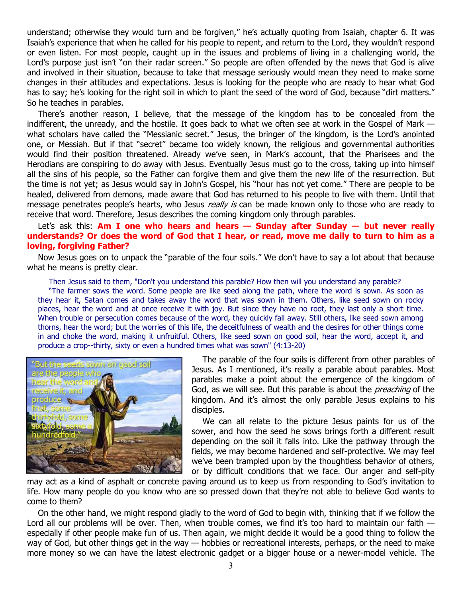understand; otherwise they would turn and be forgiven," he's actually quoting from Isaiah, chapter 6. It was Isaiah's experience that when he called for his people to repent, and return to the Lord, they wouldn't respond or even listen. For most people, caught up in the issues and problems of living in a challenging world, the Lord's purpose just isn't "on their radar screen." So people are often offended by the news that God is alive and involved in their situation, because to take that message seriously would mean they need to make some changes in their attitudes and expectations. Jesus is looking for the people who are ready to hear what God has to say; he's looking for the right soil in which to plant the seed of the word of God, because "dirt matters." So he teaches in parables.

There's another reason, I believe, that the message of the kingdom has to be concealed from the indifferent, the unready, and the hostile. It goes back to what we often see at work in the Gospel of Mark what scholars have called the "Messianic secret." Jesus, the bringer of the kingdom, is the Lord's anointed one, or Messiah. But if that "secret" became too widely known, the religious and governmental authorities would find their position threatened. Already we've seen, in Mark's account, that the Pharisees and the Herodians are conspiring to do away with Jesus. Eventually Jesus must go to the cross, taking up into himself all the sins of his people, so the Father can forgive them and give them the new life of the resurrection. But the time is not yet; as Jesus would say in John's Gospel, his "hour has not yet come." There are people to be healed, delivered from demons, made aware that God has returned to his people to live with them. Until that message penetrates people's hearts, who Jesus *really is* can be made known only to those who are ready to receive that word. Therefore, Jesus describes the coming kingdom only through parables.

## Let's ask this: **Am I one who hears and hears - Sunday after Sunday - but never really understands? Or does the word of God that I hear, or read, move me daily to turn to him as a loving, forgiving Father?**

Now Jesus goes on to unpack the "parable of the four soils." We don't have to say a lot about that because what he means is pretty clear.

Then Jesus said to them, "Don't you understand this parable? How then will you understand any parable?

"The farmer sows the word. Some people are like seed along the path, where the word is sown. As soon as they hear it, Satan comes and takes away the word that was sown in them. Others, like seed sown on rocky places, hear the word and at once receive it with joy. But since they have no root, they last only a short time. When trouble or persecution comes because of the word, they quickly fall away. Still others, like seed sown among thorns, hear the word; but the worries of this life, the deceitfulness of wealth and the desires for other things come in and choke the word, making it unfruitful. Others, like seed sown on good soil, hear the word, accept it, and produce a crop--thirty, sixty or even a hundred times what was sown" (4:13-20)



The parable of the four soils is different from other parables of Jesus. As I mentioned, it's really a parable about parables. Most parables make a point about the emergence of the kingdom of God, as we will see. But this parable is about the *preaching* of the kingdom. And it's almost the only parable Jesus explains to his disciples.

We can all relate to the picture Jesus paints for us of the sower, and how the seed he sows brings forth a different result depending on the soil it falls into. Like the pathway through the fields, we may become hardened and self-protective. We may feel we've been trampled upon by the thoughtless behavior of others, or by difficult conditions that we face. Our anger and self-pity

may act as a kind of asphalt or concrete paving around us to keep us from responding to God's invitation to life. How many people do you know who are so pressed down that they're not able to believe God wants to come to them?

On the other hand, we might respond gladly to the word of God to begin with, thinking that if we follow the Lord all our problems will be over. Then, when trouble comes, we find it's too hard to maintain our faith especially if other people make fun of us. Then again, we might decide it would be a good thing to follow the way of God, but other things get in the way — hobbies or recreational interests, perhaps, or the need to make more money so we can have the latest electronic gadget or a bigger house or a newer-model vehicle. The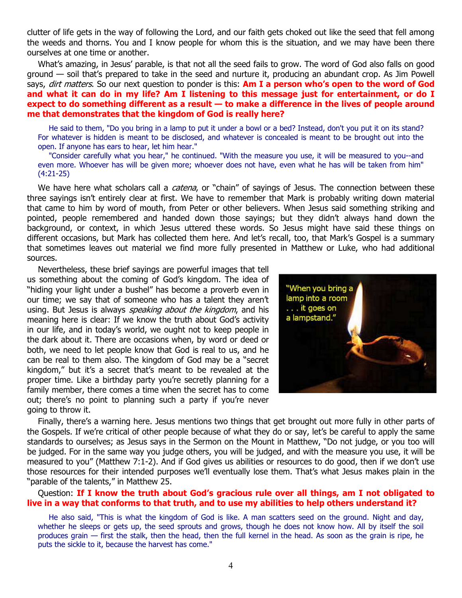clutter of life gets in the way of following the Lord, and our faith gets choked out like the seed that fell among the weeds and thorns. You and I know people for whom this is the situation, and we may have been there ourselves at one time or another.

What's amazing, in Jesus' parable, is that not all the seed fails to grow. The word of God also falls on good ground — soil that's prepared to take in the seed and nurture it, producing an abundant crop. As Jim Powell says, dirt matters. So our next question to ponder is this: **Am I a person who's open to the word of God and what it can do in my life? Am I listening to this message just for entertainment, or do I expect to do something different as a result — to make a difference in the lives of people around me that demonstrates that the kingdom of God is really here?**

He said to them, "Do you bring in a lamp to put it under a bowl or a bed? Instead, don't you put it on its stand? For whatever is hidden is meant to be disclosed, and whatever is concealed is meant to be brought out into the open. If anyone has ears to hear, let him hear."

"Consider carefully what you hear," he continued. "With the measure you use, it will be measured to you--and even more. Whoever has will be given more; whoever does not have, even what he has will be taken from him" (4:21-25)

We have here what scholars call a *catena*, or "chain" of sayings of Jesus. The connection between these three sayings isn't entirely clear at first. We have to remember that Mark is probably writing down material that came to him by word of mouth, from Peter or other believers. When Jesus said something striking and pointed, people remembered and handed down those sayings; but they didn't always hand down the background, or context, in which Jesus uttered these words. So Jesus might have said these things on different occasions, but Mark has collected them here. And let's recall, too, that Mark's Gospel is a summary that sometimes leaves out material we find more fully presented in Matthew or Luke, who had additional sources.

Nevertheless, these brief sayings are powerful images that tell us something about the coming of God's kingdom. The idea of "hiding your light under a bushel" has become a proverb even in our time; we say that of someone who has a talent they aren't using. But Jesus is always *speaking about the kingdom*, and his meaning here is clear: If we know the truth about God's activity in our life, and in today's world, we ought not to keep people in the dark about it. There are occasions when, by word or deed or both, we need to let people know that God is real to us, and he can be real to them also. The kingdom of God may be a "secret kingdom," but it's a secret that's meant to be revealed at the proper time. Like a birthday party you're secretly planning for a family member, there comes a time when the secret has to come out; there's no point to planning such a party if you're never going to throw it.



Finally, there's a warning here. Jesus mentions two things that get brought out more fully in other parts of the Gospels. If we're critical of other people because of what they do or say, let's be careful to apply the same standards to ourselves; as Jesus says in the Sermon on the Mount in Matthew, "Do not judge, or you too will be judged. For in the same way you judge others, you will be judged, and with the measure you use, it will be measured to you" (Matthew 7:1-2). And if God gives us abilities or resources to do good, then if we don't use those resources for their intended purposes we'll eventually lose them. That's what Jesus makes plain in the "parable of the talents," in Matthew 25.

## Question: **If I know the truth about God's gracious rule over all things, am I not obligated to live in a way that conforms to that truth, and to use my abilities to help others understand it?**

He also said, "This is what the kingdom of God is like. A man scatters seed on the ground. Night and day, whether he sleeps or gets up, the seed sprouts and grows, though he does not know how. All by itself the soil produces grain — first the stalk, then the head, then the full kernel in the head. As soon as the grain is ripe, he puts the sickle to it, because the harvest has come."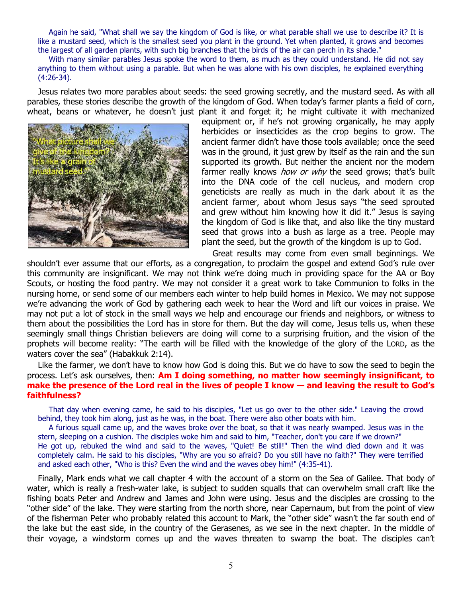Again he said, "What shall we say the kingdom of God is like, or what parable shall we use to describe it? It is like a mustard seed, which is the smallest seed you plant in the ground. Yet when planted, it grows and becomes the largest of all garden plants, with such big branches that the birds of the air can perch in its shade."

With many similar parables Jesus spoke the word to them, as much as they could understand. He did not say anything to them without using a parable. But when he was alone with his own disciples, he explained everything (4:26-34).

Jesus relates two more parables about seeds: the seed growing secretly, and the mustard seed. As with all parables, these stories describe the growth of the kingdom of God. When today's farmer plants a field of corn, wheat, beans or whatever, he doesn't just plant it and forget it; he might cultivate it with mechanized



equipment or, if he's not growing organically, he may apply herbicides or insecticides as the crop begins to grow. The ancient farmer didn't have those tools available; once the seed was in the ground, it just grew by itself as the rain and the sun supported its growth. But neither the ancient nor the modern farmer really knows *how or why* the seed grows; that's built into the DNA code of the cell nucleus, and modern crop geneticists are really as much in the dark about it as the ancient farmer, about whom Jesus says "the seed sprouted and grew without him knowing how it did it." Jesus is saying the kingdom of God is like that, and also like the tiny mustard seed that grows into a bush as large as a tree. People may plant the seed, but the growth of the kingdom is up to God.

Great results may come from even small beginnings. We shouldn't ever assume that our efforts, as a congregation, to proclaim the gospel and extend God's rule over this community are insignificant. We may not think we're doing much in providing space for the AA or Boy Scouts, or hosting the food pantry. We may not consider it a great work to take Communion to folks in the nursing home, or send some of our members each winter to help build homes in Mexico. We may not suppose we're advancing the work of God by gathering each week to hear the Word and lift our voices in praise. We may not put a lot of stock in the small ways we help and encourage our friends and neighbors, or witness to them about the possibilities the Lord has in store for them. But the day will come, Jesus tells us, when these seemingly small things Christian believers are doing will come to a surprising fruition, and the vision of the prophets will become reality: "The earth will be filled with the knowledge of the glory of the LORD, as the waters cover the sea" (Habakkuk 2:14).

Like the farmer, we don't have to know how God is doing this. But we do have to sow the seed to begin the process. Let's ask ourselves, then: **Am I doing something, no matter how seemingly insignificant, to make the presence of the Lord real in the lives of people I know — and leaving the result to God's faithfulness?**

That day when evening came, he said to his disciples, "Let us go over to the other side." Leaving the crowd behind, they took him along, just as he was, in the boat. There were also other boats with him.

A furious squall came up, and the waves broke over the boat, so that it was nearly swamped. Jesus was in the stern, sleeping on a cushion. The disciples woke him and said to him, "Teacher, don't you care if we drown?" He got up, rebuked the wind and said to the waves, "Quiet! Be still!" Then the wind died down and it was completely calm. He said to his disciples, "Why are you so afraid? Do you still have no faith?" They were terrified and asked each other, "Who is this? Even the wind and the waves obey him!" (4:35-41).

Finally, Mark ends what we call chapter 4 with the account of a storm on the Sea of Galilee. That body of water, which is really a fresh-water lake, is subject to sudden squalls that can overwhelm small craft like the fishing boats Peter and Andrew and James and John were using. Jesus and the disciples are crossing to the "other side" of the lake. They were starting from the north shore, near Capernaum, but from the point of view of the fisherman Peter who probably related this account to Mark, the "other side" wasn't the far south end of the lake but the east side, in the country of the Gerasenes, as we see in the next chapter. In the middle of their voyage, a windstorm comes up and the waves threaten to swamp the boat. The disciples can't